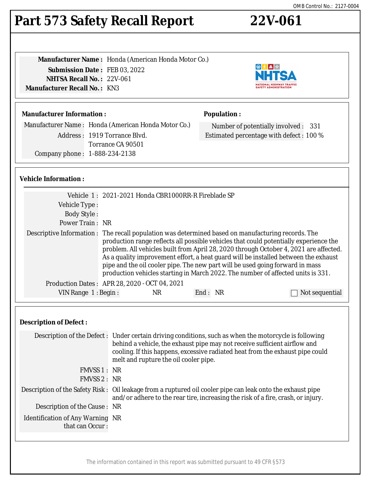# **Part 573 Safety Recall Report 22V-061**

**Manufacturer Name :** Honda (American Honda Motor Co.) **Submission Date :** FEB 03, 2022 **NHTSA Recall No. :** 22V-061 **Manufacturer Recall No. :** KN3

# **Manufacturer Information :**

Manufacturer Name : Honda (American Honda Motor Co.) Address : 1919 Torrance Blvd. Torrance CA 90501 Company phone : 1-888-234-2138

# **Vehicle Information :**

|                     | Vehicle 1: 2021-2021 Honda CBR1000RR-R Fireblade SP                                                                                                                                 |         |                                                                                                                                                                                                                                                                                                                                                           |
|---------------------|-------------------------------------------------------------------------------------------------------------------------------------------------------------------------------------|---------|-----------------------------------------------------------------------------------------------------------------------------------------------------------------------------------------------------------------------------------------------------------------------------------------------------------------------------------------------------------|
| Vehicle Type:       |                                                                                                                                                                                     |         |                                                                                                                                                                                                                                                                                                                                                           |
| <b>Body Style:</b>  |                                                                                                                                                                                     |         |                                                                                                                                                                                                                                                                                                                                                           |
| Power Train: NR     |                                                                                                                                                                                     |         |                                                                                                                                                                                                                                                                                                                                                           |
|                     | Descriptive Information : The recall population was determined based on manufacturing records. The<br>pipe and the oil cooler pipe. The new part will be used going forward in mass |         | production range reflects all possible vehicles that could potentially experience the<br>problem. All vehicles built from April 28, 2020 through October 4, 2021 are affected.<br>As a quality improvement effort, a heat guard will be installed between the exhaust<br>production vehicles starting in March 2022. The number of affected units is 331. |
|                     | Production Dates: APR 28, 2020 - OCT 04, 2021                                                                                                                                       |         |                                                                                                                                                                                                                                                                                                                                                           |
| VIN Range 1: Begin: | NR                                                                                                                                                                                  | End: NR | Not sequential                                                                                                                                                                                                                                                                                                                                            |

## **Description of Defect :**

|                                                            | Description of the Defect : Under certain driving conditions, such as when the motorcycle is following<br>behind a vehicle, the exhaust pipe may not receive sufficient airflow and<br>cooling. If this happens, excessive radiated heat from the exhaust pipe could<br>melt and rupture the oil cooler pipe. |
|------------------------------------------------------------|---------------------------------------------------------------------------------------------------------------------------------------------------------------------------------------------------------------------------------------------------------------------------------------------------------------|
| FMVSS 1: NR                                                |                                                                                                                                                                                                                                                                                                               |
| FMVSS 2: NR                                                |                                                                                                                                                                                                                                                                                                               |
|                                                            | Description of the Safety Risk : Oil leakage from a ruptured oil cooler pipe can leak onto the exhaust pipe<br>and/or adhere to the rear tire, increasing the risk of a fire, crash, or injury.                                                                                                               |
| Description of the Cause : NR                              |                                                                                                                                                                                                                                                                                                               |
| <b>Identification of Any Warning NR</b><br>that can Occur: |                                                                                                                                                                                                                                                                                                               |
|                                                            |                                                                                                                                                                                                                                                                                                               |

The information contained in this report was submitted pursuant to 49 CFR §573



Number of potentially involved : 331 Estimated percentage with defect : 100 %

**Population :**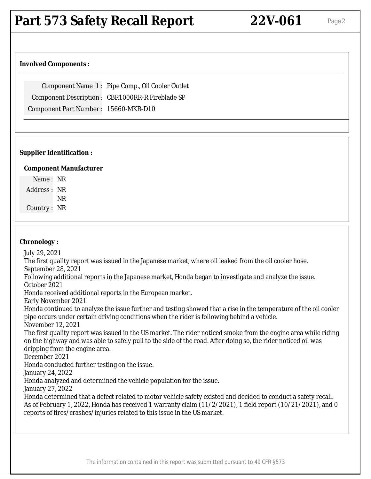# **Part 573 Safety Recall Report 22V-061** Page 2

### **Involved Components :**

Component Name 1 : Pipe Comp., Oil Cooler Outlet Component Description : CBR1000RR-R Fireblade SP Component Part Number : 15660-MKR-D10

### **Supplier Identification :**

#### **Component Manufacturer**

Name : NR Address : NR NR

Country : NR

#### **Chronology :**

July 29, 2021

The first quality report was issued in the Japanese market, where oil leaked from the oil cooler hose. September 28, 2021

Following additional reports in the Japanese market, Honda began to investigate and analyze the issue. October 2021

Honda received additional reports in the European market.

Early November 2021

Honda continued to analyze the issue further and testing showed that a rise in the temperature of the oil cooler pipe occurs under certain driving conditions when the rider is following behind a vehicle.

November 12, 2021

The first quality report was issued in the US market. The rider noticed smoke from the engine area while riding on the highway and was able to safely pull to the side of the road. After doing so, the rider noticed oil was dripping from the engine area.

December 2021

Honda conducted further testing on the issue.

January 24, 2022

Honda analyzed and determined the vehicle population for the issue.

January 27, 2022

Honda determined that a defect related to motor vehicle safety existed and decided to conduct a safety recall. As of February 1, 2022, Honda has received 1 warranty claim (11/2/2021), 1 field report (10/21/2021), and 0 reports of fires/crashes/injuries related to this issue in the US market.